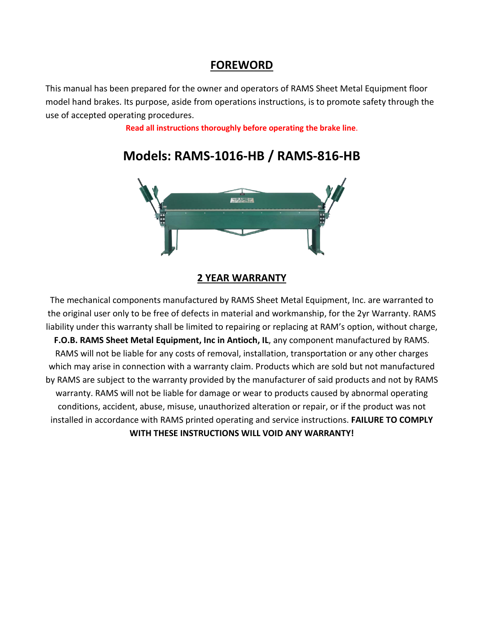## **FOREWORD**

This manual has been prepared for the owner and operators of RAMS Sheet Metal Equipment floor model hand brakes. Its purpose, aside from operations instructions, is to promote safety through the use of accepted operating procedures.

**Read all instructions thoroughly before operating the brake line**.



# **Models: RAMS-1016-HB / RAMS-816-HB**

### **2 YEAR WARRANTY**

The mechanical components manufactured by RAMS Sheet Metal Equipment, Inc. are warranted to the original user only to be free of defects in material and workmanship, for the 2yr Warranty. RAMS liability under this warranty shall be limited to repairing or replacing at RAM's option, without charge, **F.O.B. RAMS Sheet Metal Equipment, Inc in Antioch, IL**, any component manufactured by RAMS. RAMS will not be liable for any costs of removal, installation, transportation or any other charges which may arise in connection with a warranty claim. Products which are sold but not manufactured by RAMS are subject to the warranty provided by the manufacturer of said products and not by RAMS warranty. RAMS will not be liable for damage or wear to products caused by abnormal operating conditions, accident, abuse, misuse, unauthorized alteration or repair, or if the product was not installed in accordance with RAMS printed operating and service instructions. **FAILURE TO COMPLY WITH THESE INSTRUCTIONS WILL VOID ANY WARRANTY!**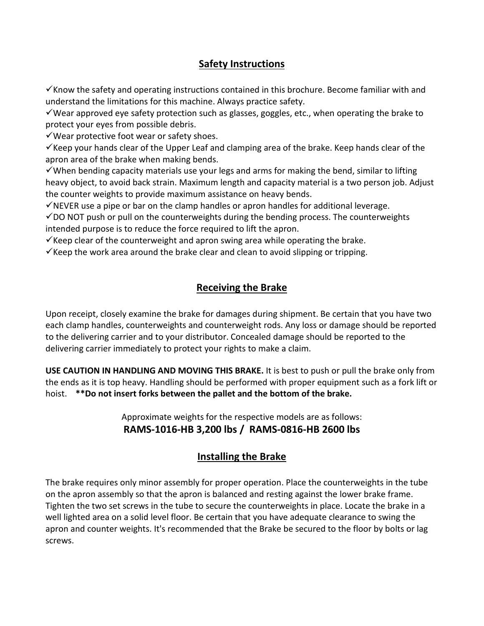## **Safety Instructions**

 $\checkmark$  Know the safety and operating instructions contained in this brochure. Become familiar with and understand the limitations for this machine. Always practice safety.

 $\checkmark$  Wear approved eye safety protection such as glasses, goggles, etc., when operating the brake to protect your eyes from possible debris.

 $\checkmark$  Wear protective foot wear or safety shoes.

 $\checkmark$  Keep your hands clear of the Upper Leaf and clamping area of the brake. Keep hands clear of the apron area of the brake when making bends.

 $\checkmark$  When bending capacity materials use your legs and arms for making the bend, similar to lifting heavy object, to avoid back strain. Maximum length and capacity material is a two person job. Adjust the counter weights to provide maximum assistance on heavy bends.

 $\checkmark$  NEVER use a pipe or bar on the clamp handles or apron handles for additional leverage.

 $\checkmark$ DO NOT push or pull on the counterweights during the bending process. The counterweights intended purpose is to reduce the force required to lift the apron.

 $\checkmark$  Keep clear of the counterweight and apron swing area while operating the brake.

 $\checkmark$  Keep the work area around the brake clear and clean to avoid slipping or tripping.

## **Receiving the Brake**

Upon receipt, closely examine the brake for damages during shipment. Be certain that you have two each clamp handles, counterweights and counterweight rods. Any loss or damage should be reported to the delivering carrier and to your distributor. Concealed damage should be reported to the delivering carrier immediately to protect your rights to make a claim.

**USE CAUTION IN HANDLING AND MOVING THIS BRAKE.** It is best to push or pull the brake only from the ends as it is top heavy. Handling should be performed with proper equipment such as a fork lift or hoist. **\*\*Do not insert forks between the pallet and the bottom of the brake.** 

> Approximate weights for the respective models are as follows: **RAMS-1016-HB 3,200 lbs / RAMS-0816-HB 2600 lbs**

## **Installing the Brake**

The brake requires only minor assembly for proper operation. Place the counterweights in the tube on the apron assembly so that the apron is balanced and resting against the lower brake frame. Tighten the two set screws in the tube to secure the counterweights in place. Locate the brake in a well lighted area on a solid level floor. Be certain that you have adequate clearance to swing the apron and counter weights. It's recommended that the Brake be secured to the floor by bolts or lag screws.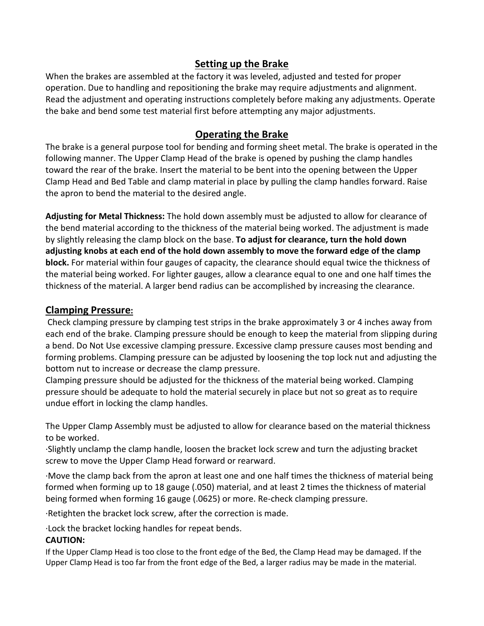## **Setting up the Brake**

When the brakes are assembled at the factory it was leveled, adjusted and tested for proper operation. Due to handling and repositioning the brake may require adjustments and alignment. Read the adjustment and operating instructions completely before making any adjustments. Operate the bake and bend some test material first before attempting any major adjustments.

## **Operating the Brake**

The brake is a general purpose tool for bending and forming sheet metal. The brake is operated in the following manner. The Upper Clamp Head of the brake is opened by pushing the clamp handles toward the rear of the brake. Insert the material to be bent into the opening between the Upper Clamp Head and Bed Table and clamp material in place by pulling the clamp handles forward. Raise the apron to bend the material to the desired angle.

**Adjusting for Metal Thickness:** The hold down assembly must be adjusted to allow for clearance of the bend material according to the thickness of the material being worked. The adjustment is made by slightly releasing the clamp block on the base. **To adjust for clearance, turn the hold down adjusting knobs at each end of the hold down assembly to move the forward edge of the clamp block.** For material within four gauges of capacity, the clearance should equal twice the thickness of the material being worked. For lighter gauges, allow a clearance equal to one and one half times the thickness of the material. A larger bend radius can be accomplished by increasing the clearance.

## **Clamping Pressure:**

Check clamping pressure by clamping test strips in the brake approximately 3 or 4 inches away from each end of the brake. Clamping pressure should be enough to keep the material from slipping during a bend. Do Not Use excessive clamping pressure. Excessive clamp pressure causes most bending and forming problems. Clamping pressure can be adjusted by loosening the top lock nut and adjusting the bottom nut to increase or decrease the clamp pressure.

Clamping pressure should be adjusted for the thickness of the material being worked. Clamping pressure should be adequate to hold the material securely in place but not so great as to require undue effort in locking the clamp handles.

The Upper Clamp Assembly must be adjusted to allow for clearance based on the material thickness to be worked.

·Slightly unclamp the clamp handle, loosen the bracket lock screw and turn the adjusting bracket screw to move the Upper Clamp Head forward or rearward.

·Move the clamp back from the apron at least one and one half times the thickness of material being formed when forming up to 18 gauge (.050) material, and at least 2 times the thickness of material being formed when forming 16 gauge (.0625) or more. Re-check clamping pressure.

·Retighten the bracket lock screw, after the correction is made.

·Lock the bracket locking handles for repeat bends.

### **CAUTION:**

If the Upper Clamp Head is too close to the front edge of the Bed, the Clamp Head may be damaged. If the Upper Clamp Head is too far from the front edge of the Bed, a larger radius may be made in the material.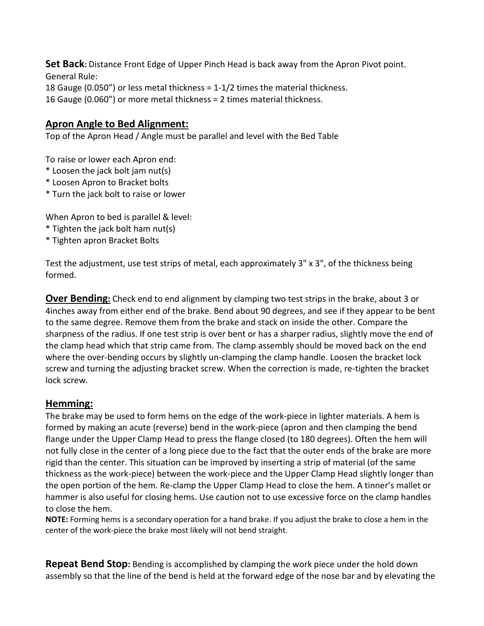**Set Back:** Distance Front Edge of Upper Pinch Head is back away from the Apron Pivot point. General Rule:

18 Gauge (0.050") or less metal thickness = 1-1/2 times the material thickness.

16 Gauge (0.060") or more metal thickness = 2 times material thickness.

## **Apron Angle to Bed Alignment:**

Top of the Apron Head / Angle must be parallel and level with the Bed Table

To raise or lower each Apron end:

- \* Loosen the jack bolt jam nut(s)
- \* Loosen Apron to Bracket bolts
- \* Turn the jack bolt to raise or lower

When Apron to bed is parallel & level:

- \* Tighten the jack bolt ham nut(s)
- \* Tighten apron Bracket Bolts

Test the adjustment, use test strips of metal, each approximately 3" x 3", of the thickness being formed.

**Over Bending:** Check end to end alignment by clamping two test strips in the brake, about 3 or 4inches away from either end of the brake. Bend about 90 degrees, and see if they appear to be bent to the same degree. Remove them from the brake and stack on inside the other. Compare the sharpness of the radius. If one test strip is over bent or has a sharper radius, slightly move the end of the clamp head which that strip came from. The clamp assembly should be moved back on the end where the over-bending occurs by slightly un-clamping the clamp handle. Loosen the bracket lock screw and turning the adjusting bracket screw. When the correction is made, re-tighten the bracket lock screw.

### **Hemming:**

The brake may be used to form hems on the edge of the work-piece in lighter materials. A hem is formed by making an acute (reverse) bend in the work-piece (apron and then clamping the bend flange under the Upper Clamp Head to press the flange closed (to 180 degrees). Often the hem will not fully close in the center of a long piece due to the fact that the outer ends of the brake are more rigid than the center. This situation can be improved by inserting a strip of material (of the same thickness as the work-piece) between the work-piece and the Upper Clamp Head slightly longer than the open portion of the hem. Re-clamp the Upper Clamp Head to close the hem. A tinner's mallet or hammer is also useful for closing hems. Use caution not to use excessive force on the clamp handles to close the hem.

**NOTE:** Forming hems is a secondary operation for a hand brake. If you adjust the brake to close a hem in the center of the work-piece the brake most likely will not bend straight.

**Repeat Bend Stop:** Bending is accomplished by clamping the work piece under the hold down assembly so that the line of the bend is held at the forward edge of the nose bar and by elevating the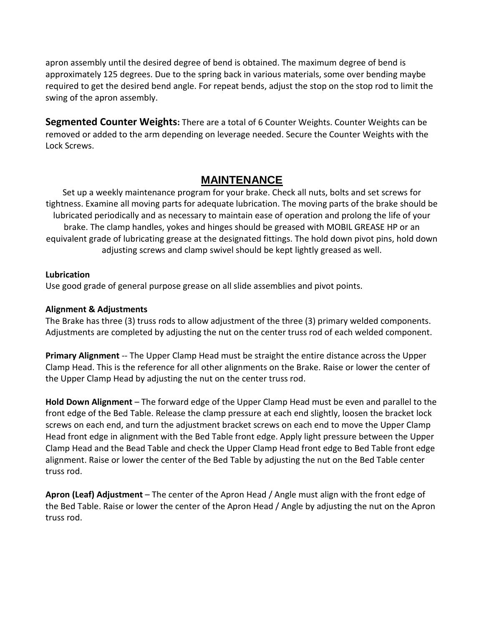apron assembly until the desired degree of bend is obtained. The maximum degree of bend is approximately 125 degrees. Due to the spring back in various materials, some over bending maybe required to get the desired bend angle. For repeat bends, adjust the stop on the stop rod to limit the swing of the apron assembly.

**Segmented Counter Weights:** There are a total of 6 Counter Weights. Counter Weights can be removed or added to the arm depending on leverage needed. Secure the Counter Weights with the Lock Screws.

## **MAINTENANCE**

Set up a weekly maintenance program for your brake. Check all nuts, bolts and set screws for tightness. Examine all moving parts for adequate lubrication. The moving parts of the brake should be lubricated periodically and as necessary to maintain ease of operation and prolong the life of your brake. The clamp handles, yokes and hinges should be greased with MOBIL GREASE HP or an equivalent grade of lubricating grease at the designated fittings. The hold down pivot pins, hold down adjusting screws and clamp swivel should be kept lightly greased as well.

### **Lubrication**

Use good grade of general purpose grease on all slide assemblies and pivot points.

### **Alignment & Adjustments**

The Brake has three (3) truss rods to allow adjustment of the three (3) primary welded components. Adjustments are completed by adjusting the nut on the center truss rod of each welded component.

**Primary Alignment** -- The Upper Clamp Head must be straight the entire distance across the Upper Clamp Head. This is the reference for all other alignments on the Brake. Raise or lower the center of the Upper Clamp Head by adjusting the nut on the center truss rod.

**Hold Down Alignment** – The forward edge of the Upper Clamp Head must be even and parallel to the front edge of the Bed Table. Release the clamp pressure at each end slightly, loosen the bracket lock screws on each end, and turn the adjustment bracket screws on each end to move the Upper Clamp Head front edge in alignment with the Bed Table front edge. Apply light pressure between the Upper Clamp Head and the Bead Table and check the Upper Clamp Head front edge to Bed Table front edge alignment. Raise or lower the center of the Bed Table by adjusting the nut on the Bed Table center truss rod.

**Apron (Leaf) Adjustment** – The center of the Apron Head / Angle must align with the front edge of the Bed Table. Raise or lower the center of the Apron Head / Angle by adjusting the nut on the Apron truss rod.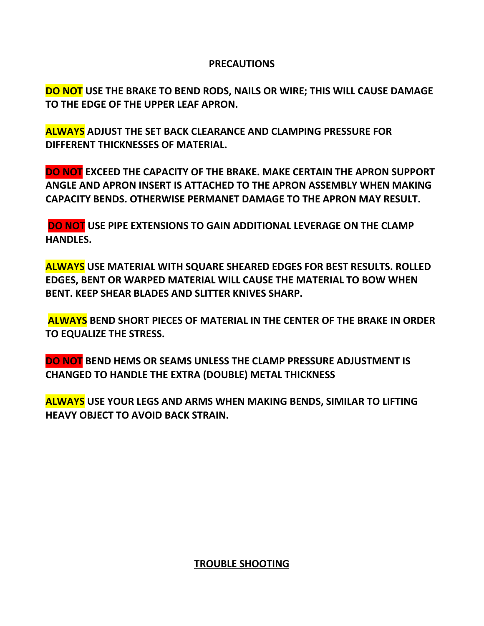## **PRECAUTIONS**

**DO NOT USE THE BRAKE TO BEND RODS, NAILS OR WIRE; THIS WILL CAUSE DAMAGE TO THE EDGE OF THE UPPER LEAF APRON.** 

**ALWAYS ADJUST THE SET BACK CLEARANCE AND CLAMPING PRESSURE FOR DIFFERENT THICKNESSES OF MATERIAL.** 

**DO NOT EXCEED THE CAPACITY OF THE BRAKE. MAKE CERTAIN THE APRON SUPPORT ANGLE AND APRON INSERT IS ATTACHED TO THE APRON ASSEMBLY WHEN MAKING CAPACITY BENDS. OTHERWISE PERMANET DAMAGE TO THE APRON MAY RESULT.**

**DO NOT USE PIPE EXTENSIONS TO GAIN ADDITIONAL LEVERAGE ON THE CLAMP HANDLES.** 

**ALWAYS USE MATERIAL WITH SQUARE SHEARED EDGES FOR BEST RESULTS. ROLLED EDGES, BENT OR WARPED MATERIAL WILL CAUSE THE MATERIAL TO BOW WHEN BENT. KEEP SHEAR BLADES AND SLITTER KNIVES SHARP.**

**ALWAYS BEND SHORT PIECES OF MATERIAL IN THE CENTER OF THE BRAKE IN ORDER TO EQUALIZE THE STRESS.** 

**DO NOT BEND HEMS OR SEAMS UNLESS THE CLAMP PRESSURE ADJUSTMENT IS CHANGED TO HANDLE THE EXTRA (DOUBLE) METAL THICKNESS**

**ALWAYS USE YOUR LEGS AND ARMS WHEN MAKING BENDS, SIMILAR TO LIFTING HEAVY OBJECT TO AVOID BACK STRAIN.**

**TROUBLE SHOOTING**